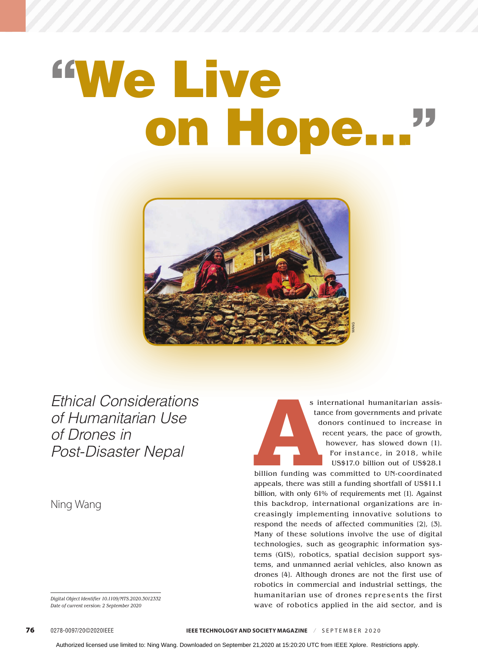# "We Live on Hope…"



*Ethical Considerations of Humanitarian Use of Drones in*  Ethical Considerations<br>
of Humanitarian Use<br>
of Drones in<br>
Post-Disaster Nepal<br>
Post-Bisaster Nepal<br>
Post-Bisaster Nepal<br>
Post-Bisaster Nepal<br>
Post-Bisaster Nepal<br>
Post-Bisaster Nepal<br>
Post-Bisaster Nepal<br>
Post-Bisaster Ne

Ning Wang

*Digital Object Identifier 10.1109/MTS.2020.3012332 Date of current version: 2 September 2020*

s international humanitarian assistance from governments and private donors continued to increase in recent years, the pace of growth, however, has slowed down [1]. For instance, in 2018, while US\$17.0 billion out of US\$28.1

billion funding was committed to UN-coordinated appeals, there was still a funding shortfall of US\$11.1 billion, with only 61% of requirements met [1]. Against this backdrop, international organizations are increasingly implementing innovative solutions to respond the needs of affected communities [2], [3]. Many of these solutions involve the use of digital technologies, such as geographic information systems (GIS), robotics, spatial decision support systems, and unmanned aerial vehicles, also known as drones [4]. Although drones are not the first use of robotics in commercial and industrial settings, the humanitarian use of drones represents the first s international humanitarian assis-<br>tance from governments and private<br>donors continued to increase in<br>merget versus, the pace of growth,<br>however, has slowed down (1).<br>For instance, in 2018, while<br>uS\$17.0 billion out of US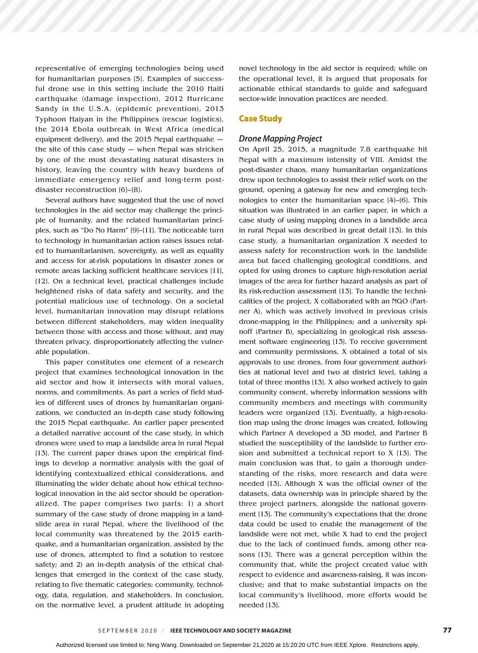representative of emerging technologies being used for humanitarian purposes [5]. Examples of successful drone use in this setting include the 2010 Haiti earthquake (damage inspection), 2012 Hurricane Sandy in the U.S.A. (epidemic prevention), 2013 Typhoon Haiyan in the Philippines (rescue logistics), the 2014 Ebola outbreak in West Africa (medical equipment delivery), and the 2015 Nepal earthquake the site of this case study — when Nepal was stricken by one of the most devastating natural disasters in history, leaving the country with heavy burdens of immediate emergency relief and long-term postdisaster reconstruction [6]–[8].

Several authors have suggested that the use of novel technologies in the aid sector may challenge the principle of humanity, and the related humanitarian principles, such as "Do No Harm" [9]–[11]. The noticeable turn to technology in humanitarian action raises issues related to humanitarianism, sovereignty, as well as equality and access for at-risk populations in disaster zones or remote areas lacking sufficient healthcare services [11], [12]. On a technical level, practical challenges include heightened risks of data safety and security, and the potential malicious use of technology. On a societal level, humanitarian innovation may disrupt relations between different stakeholders, may widen inequality between those with access and those without, and may threaten privacy, disproportionately affecting the vulnerable population.

This paper constitutes one element of a research project that examines technological innovation in the aid sector and how it intersects with moral values, norms, and commitments. As part a series of field studies of different uses of drones by humanitarian organizations, we conducted an in-depth case study following the 2015 Nepal earthquake. An earlier paper presented a detailed narrative account of the case study, in which drones were used to map a landslide area in rural Nepal [13]. The current paper draws upon the empirical findings to develop a normative analysis with the goal of identifying contextualized ethical considerations, and illuminating the wider debate about how ethical technological innovation in the aid sector should be operationalized. The paper comprises two parts: 1) a short summary of the case study of drone mapping in a landslide area in rural Nepal, where the livelihood of the local community was threatened by the 2015 earthquake, and a humanitarian organization, assisted by the use of drones, attempted to find a solution to restore safety; and 2) an in-depth analysis of the ethical challenges that emerged in the context of the case study, relating to five thematic categories: community, technology, data, regulation, and stakeholders. In conclusion, on the normative level, a prudent attitude in adopting novel technology in the aid sector is required; while on the operational level, it is argued that proposals for actionable ethical standards to guide and safeguard sector-wide innovation practices are needed.

# Case Study

### *Drone Mapping Project*

On April 25, 2015, a magnitude 7.8 earthquake hit Nepal with a maximum intensity of VIII. Amidst the post-disaster chaos, many humanitarian organizations drew upon technologies to assist their relief work on the ground, opening a gateway for new and emerging technologies to enter the humanitarian space [4]–[6]. This situation was illustrated in an earlier paper, in which a case study of using mapping drones in a landslide area in rural Nepal was described in great detail [13]. In this case study, a humanitarian organization X needed to assess safety for reconstruction work in the landslide area but faced challenging geological conditions, and opted for using drones to capture high-resolution aerial images of the area for further hazard analysis as part of its risk-reduction assessment [13]. To handle the technicalities of the project, X collaborated with an NGO (Partner A), which was actively involved in previous crisis drone-mapping in the Philippines; and a university spinoff (Partner B), specializing in geological risk assessment software engineering [13]. To receive government and community permissions, X obtained a total of six approvals to use drones, from four government authorities at national level and two at district level, taking a total of three months [13]. X also worked actively to gain community consent, whereby information sessions with community members and meetings with community leaders were organized [13]. Eventually, a high-resolution map using the drone images was created, following which Partner A developed a 3D model, and Partner B studied the susceptibility of the landslide to further erosion and submitted a technical report to X [13]. The main conclusion was that, to gain a thorough understanding of the risks, more research and data were needed [13]. Although X was the official owner of the datasets, data ownership was in principle shared by the three project partners, alongside the national government [13]. The community's expectations that the drone data could be used to enable the management of the landslide were not met, while X had to end the project due to the lack of continued funds, among other reasons [13]. There was a general perception within the community that, while the project created value with respect to evidence and awareness-raising, it was inconclusive; and that to make substantial impacts on the local community's livelihood, more efforts would be needed [13].

Authorized licensed use limited to: Ning Wang. Downloaded on September 21,2020 at 15:20:20 UTC from IEEE Xplore. Restrictions apply.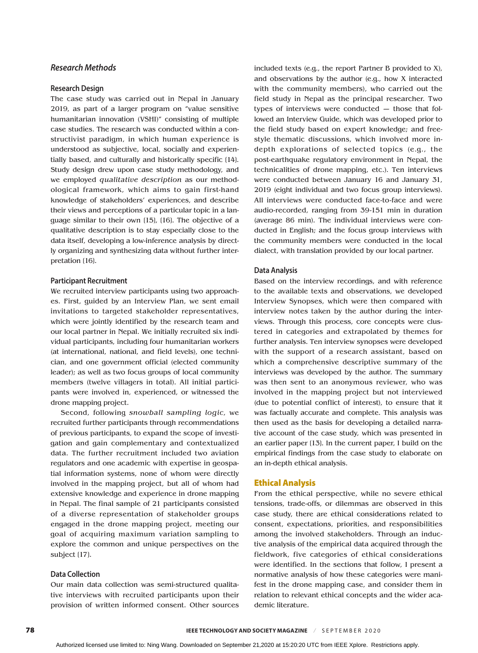# *Research Methods*

#### **Research Design**

The case study was carried out in Nepal in January 2019, as part of a larger program on "value sensitive humanitarian innovation (VSHI)" consisting of multiple case studies. The research was conducted within a constructivist paradigm, in which human experience is understood as subjective, local, socially and experientially based, and culturally and historically specific [14]. Study design drew upon case study methodology, and we employed *qualitative description* as our methodological framework, which aims to gain first-hand knowledge of stakeholders' experiences, and describe their views and perceptions of a particular topic in a language similar to their own [15], [16]. The objective of a qualitative description is to stay especially close to the data itself, developing a low-inference analysis by directly organizing and synthesizing data without further interpretation (16).

### **Participant Recruitment**

We recruited interview participants using two approaches. First, guided by an Interview Plan, we sent email invitations to targeted stakeholder representatives, which were jointly identified by the research team and our local partner in Nepal. We initially recruited six individual participants, including four humanitarian workers (at international, national, and field levels), one technician, and one government official (elected community leader); as well as two focus groups of local community members (twelve villagers in total). All initial participants were involved in, experienced, or witnessed the drone mapping project.

Second, following *snowball sampling logic*, we recruited further participants through recommendations of previous participants, to expand the scope of investigation and gain complementary and contextualized data. The further recruitment included two aviation regulators and one academic with expertise in geospatial information systems, none of whom were directly involved in the mapping project, but all of whom had extensive knowledge and experience in drone mapping in Nepal. The final sample of 21 participants consisted of a diverse representation of stakeholder groups engaged in the drone mapping project, meeting our goal of acquiring maximum variation sampling to explore the common and unique perspectives on the subject (17).

# **Data Collection**

Our main data collection was semi-structured qualitative interviews with recruited participants upon their provision of written informed consent. Other sources

included texts (e.g., the report Partner B provided to X), and observations by the author (e.g., how X interacted with the community members), who carried out the field study in Nepal as the principal researcher. Two types of interviews were conducted — those that followed an Interview Guide, which was developed prior to the field study based on expert knowledge; and freestyle thematic discussions, which involved more indepth explorations of selected topics (e.g., the post-earthquake regulatory environment in Nepal, the technicalities of drone mapping, etc.). Ten interviews were conducted between January 16 and January 31, 2019 (eight individual and two focus group interviews). All interviews were conducted face-to-face and were audio-recorded, ranging from 39-151 min in duration (average 86 min). The individual interviews were conducted in English; and the focus group interviews with the community members were conducted in the local dialect, with translation provided by our local partner.

#### **Data Analysis**

Based on the interview recordings, and with reference to the available texts and observations, we developed Interview Synopses, which were then compared with interview notes taken by the author during the interviews. Through this process, core concepts were clustered in categories and extrapolated by themes for further analysis. Ten interview synopses were developed with the support of a research assistant, based on which a comprehensive descriptive summary of the interviews was developed by the author. The summary was then sent to an anonymous reviewer, who was involved in the mapping project but not interviewed (due to potential conflict of interest), to ensure that it was factually accurate and complete. This analysis was then used as the basis for developing a detailed narrative account of the case study, which was presented in an earlier paper [13]. In the current paper, I build on the empirical findings from the case study to elaborate on an in-depth ethical analysis.

#### Ethical Analysis

From the ethical perspective, while no severe ethical tensions, trade-offs, or dilemmas are observed in this case study, there are ethical considerations related to consent, expectations, priorities, and responsibilities among the involved stakeholders. Through an inductive analysis of the empirical data acquired through the fieldwork, five categories of ethical considerations were identified. In the sections that follow, I present a normative analysis of how these categories were manifest in the drone mapping case, and consider them in relation to relevant ethical concepts and the wider academic literature.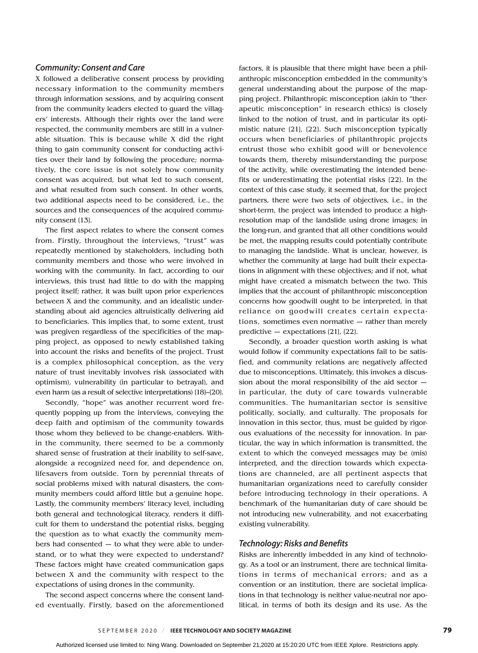## *Community: Consent and Care*

X followed a deliberative consent process by providing necessary information to the community members through information sessions, and by acquiring consent from the community leaders elected to guard the villagers' interests. Although their rights over the land were respected, the community members are still in a vulnerable situation. This is because while X did the right thing to gain community consent for conducting activities over their land by following the procedure; normatively, the core issue is not solely how community consent was acquired, but what led to such consent, and what resulted from such consent. In other words, two additional aspects need to be considered, i.e., the sources and the consequences of the acquired community consent [13].

The first aspect relates to where the consent comes from. Firstly, throughout the interviews, "trust" was repeatedly mentioned by stakeholders, including both community members and those who were involved in working with the community. In fact, according to our interviews, this trust had little to do with the mapping project itself; rather, it was built upon prior experiences between X and the community, and an idealistic understanding about aid agencies altruistically delivering aid to beneficiaries. This implies that, to some extent, trust was pregiven regardless of the specificities of the mapping project, as opposed to newly established taking into account the risks and benefits of the project. Trust is a complex philosophical conception, as the very nature of trust inevitably involves risk (associated with optimism), vulnerability (in particular to betrayal), and even harm (as a result of selective interpretations) [18]–[20].

Secondly, "hope" was another recurrent word frequently popping up from the interviews, conveying the deep faith and optimism of the community towards those whom they believed to be change-enablers. Within the community, there seemed to be a commonly shared sense of frustration at their inability to self-save, alongside a recognized need for, and dependence on, lifesavers from outside. Torn by perennial threats of social problems mixed with natural disasters, the community members could afford little but a genuine hope. Lastly, the community members' literacy level, including both general and technological literacy, renders it difficult for them to understand the potential risks, begging the question as to what exactly the community members had consented  $-$  to what they were able to understand, or to what they were expected to understand? These factors might have created communication gaps between X and the community with respect to the expectations of using drones in the community.

The second aspect concerns where the consent landed eventually. Firstly, based on the aforementioned factors, it is plausible that there might have been a philanthropic misconception embedded in the community's general understanding about the purpose of the mapping project. Philanthropic misconception (akin to "therapeutic misconception" in research ethics) is closely linked to the notion of trust, and in particular its optimistic nature [21], [22]. Such misconception typically occurs when beneficiaries of philanthropic projects entrust those who exhibit good will or benevolence towards them, thereby misunderstanding the purpose of the activity, while overestimating the intended benefits or underestimating the potential risks [22]. In the context of this case study, it seemed that, for the project partners, there were two sets of objectives, i.e., in the short-term, the project was intended to produce a highresolution map of the landslide using drone images; in the long-run, and granted that all other conditions would be met, the mapping results could potentially contribute to managing the landslide. What is unclear, however, is whether the community at large had built their expectations in alignment with these objectives; and if not, what might have created a mismatch between the two. This implies that the account of philanthropic misconception concerns how goodwill ought to be interpreted, in that reliance on goodwill creates certain expectations, sometimes even normative — rather than merely predictive  $-$  expectations  $(21)$ ,  $(22)$ .

Secondly, a broader question worth asking is what would follow if community expectations fail to be satisfied, and community relations are negatively affected due to misconceptions. Ultimately, this invokes a discussion about the moral responsibility of the aid sector  $$ in particular, the duty of care towards vulnerable communities. The humanitarian sector is sensitive politically, socially, and culturally. The proposals for innovation in this sector, thus, must be guided by rigorous evaluations of the necessity for innovation. In particular, the way in which information is transmitted, the extent to which the conveyed messages may be (mis) interpreted, and the direction towards which expectations are channeled, are all pertinent aspects that humanitarian organizations need to carefully consider before introducing technology in their operations. A benchmark of the humanitarian duty of care should be not introducing new vulnerability, and not exacerbating existing vulnerability.

# *Technology: Risks and Benefits*

Risks are inherently imbedded in any kind of technology. As a tool or an instrument, there are technical limitations in terms of mechanical errors; and as a convention or an institution, there are societal implications in that technology is neither value-neutral nor apolitical, in terms of both its design and its use. As the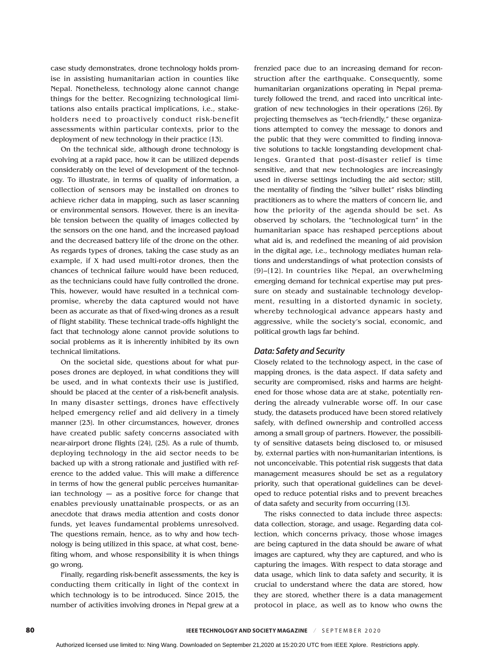case study demonstrates, drone technology holds promise in assisting humanitarian action in counties like Nepal. Nonetheless, technology alone cannot change things for the better. Recognizing technological limitations also entails practical implications, i.e., stakeholders need to proactively conduct risk-benefit assessments within particular contexts, prior to the deployment of new technology in their practice (13).

On the technical side, although drone technology is evolving at a rapid pace, how it can be utilized depends considerably on the level of development of the technology. To illustrate, in terms of quality of information, a collection of sensors may be installed on drones to achieve richer data in mapping, such as laser scanning or environmental sensors. However, there is an inevitable tension between the quality of images collected by the sensors on the one hand, and the increased payload and the decreased battery life of the drone on the other. As regards types of drones, taking the case study as an example, if X had used multi-rotor drones, then the chances of technical failure would have been reduced, as the technicians could have fully controlled the drone. This, however, would have resulted in a technical compromise, whereby the data captured would not have been as accurate as that of fixed-wing drones as a result of flight stability. These technical trade-offs highlight the fact that technology alone cannot provide solutions to social problems as it is inherently inhibited by its own technical limitations.

On the societal side, questions about for what purposes drones are deployed, in what conditions they will be used, and in what contexts their use is justified, should be placed at the center of a risk-benefit analysis. In many disaster settings, drones have effectively helped emergency relief and aid delivery in a timely manner [23]. In other circumstances, however, drones have created public safety concerns associated with near-airport drone flights [24], [25]. As a rule of thumb, deploying technology in the aid sector needs to be backed up with a strong rationale and justified with reference to the added value. This will make a difference in terms of how the general public perceives humanitarian technology  $-$  as a positive force for change that enables previously unattainable prospects, or as an anecdote that draws media attention and costs donor funds, yet leaves fundamental problems unresolved. The questions remain, hence, as to why and how technology is being utilized in this space, at what cost, benefiting whom, and whose responsibility it is when things go wrong.

Finally, regarding risk-benefit assessments, the key is conducting them critically in light of the context in which technology is to be introduced. Since 2015, the number of activities involving drones in Nepal grew at a

frenzied pace due to an increasing demand for reconstruction after the earthquake. Consequently, some humanitarian organizations operating in Nepal prematurely followed the trend, and raced into uncritical integration of new technologies in their operations [26]. By projecting themselves as "tech-friendly," these organizations attempted to convey the message to donors and the public that they were committed to finding innovative solutions to tackle longstanding development challenges. Granted that post-disaster relief is time sensitive, and that new technologies are increasingly used in diverse settings including the aid sector; still, the mentality of finding the "silver bullet" risks blinding practitioners as to where the matters of concern lie, and how the priority of the agenda should be set. As observed by scholars, the "technological turn" in the humanitarian space has reshaped perceptions about what aid is, and redefined the meaning of aid provision in the digital age, i.e., technology mediates human relations and understandings of what protection consists of [9]–[12]. In countries like Nepal, an overwhelming emerging demand for technical expertise may put pressure on steady and sustainable technology development, resulting in a distorted dynamic in society, whereby technological advance appears hasty and aggressive, while the society's social, economic, and political growth lags far behind.

# *Data: Safety and Security*

Closely related to the technology aspect, in the case of mapping drones, is the data aspect. If data safety and security are compromised, risks and harms are heightened for those whose data are at stake, potentially rendering the already vulnerable worse off. In our case study, the datasets produced have been stored relatively safely, with defined ownership and controlled access among a small group of partners. However, the possibility of sensitive datasets being disclosed to, or misused by, external parties with non-humanitarian intentions, is not unconceivable. This potential risk suggests that data management measures should be set as a regulatory priority, such that operational guidelines can be developed to reduce potential risks and to prevent breaches of data safety and security from occurring [13].

The risks connected to data include three aspects: data collection, storage, and usage. Regarding data collection, which concerns privacy, those whose images are being captured in the data should be aware of what images are captured, why they are captured, and who is capturing the images. With respect to data storage and data usage, which link to data safety and security, it is crucial to understand where the data are stored, how they are stored, whether there is a data management protocol in place, as well as to know who owns the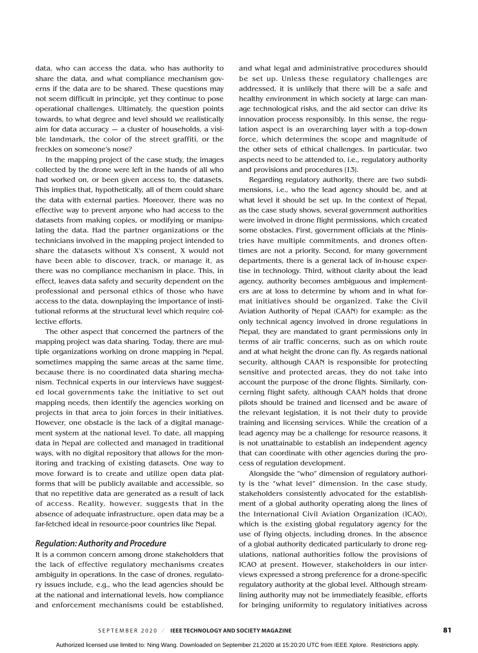data, who can access the data, who has authority to share the data, and what compliance mechanism governs if the data are to be shared. These questions may not seem difficult in principle, yet they continue to pose operational challenges. Ultimately, the question points towards, to what degree and level should we realistically aim for data accuracy  $-$  a cluster of households, a visible landmark, the color of the street graffiti, or the freckles on someone's nose?

In the mapping project of the case study, the images collected by the drone were left in the hands of all who had worked on, or been given access to, the datasets. This implies that, hypothetically, all of them could share the data with external parties. Moreover, there was no effective way to prevent anyone who had access to the datasets from making copies, or modifying or manipulating the data. Had the partner organizations or the technicians involved in the mapping project intended to share the datasets without X's consent, X would not have been able to discover, track, or manage it, as there was no compliance mechanism in place. This, in effect, leaves data safety and security dependent on the professional and personal ethics of those who have access to the data, downplaying the importance of institutional reforms at the structural level which require collective efforts.

The other aspect that concerned the partners of the mapping project was data sharing. Today, there are multiple organizations working on drone mapping in Nepal, sometimes mapping the same areas at the same time, because there is no coordinated data sharing mechanism. Technical experts in our interviews have suggested local governments take the initiative to set out mapping needs, then identify the agencies working on projects in that area to join forces in their initiatives. However, one obstacle is the lack of a digital management system at the national level. To date, all mapping data in Nepal are collected and managed in traditional ways, with no digital repository that allows for the monitoring and tracking of existing datasets. One way to move forward is to create and utilize open data platforms that will be publicly available and accessible, so that no repetitive data are generated as a result of lack of access. Reality, however, suggests that in the absence of adequate infrastructure, open data may be a far-fetched ideal in resource-poor countries like Nepal.

#### *Regulation: Authority and Procedure*

It is a common concern among drone stakeholders that the lack of effective regulatory mechanisms creates ambiguity in operations. In the case of drones, regulatory issues include, e.g., who the lead agencies should be at the national and international levels, how compliance and enforcement mechanisms could be established,

and what legal and administrative procedures should be set up. Unless these regulatory challenges are addressed, it is unlikely that there will be a safe and healthy environment in which society at large can manage technological risks, and the aid sector can drive its innovation process responsibly. In this sense, the regulation aspect is an overarching layer with a top-down force, which determines the scope and magnitude of the other sets of ethical challenges. In particular, two aspects need to be attended to, i.e., regulatory authority and provisions and procedures [13].

Regarding regulatory authority, there are two subdimensions, i.e., who the lead agency should be, and at what level it should be set up. In the context of Nepal, as the case study shows, several government authorities were involved in drone flight permissions, which created some obstacles. First, government officials at the Ministries have multiple commitments, and drones oftentimes are not a priority. Second, for many government departments, there is a general lack of in-house expertise in technology. Third, without clarity about the lead agency, authority becomes ambiguous and implementers are at loss to determine by whom and in what format initiatives should be organized. Take the Civil Aviation Authority of Nepal (CAAN) for example: as the only technical agency involved in drone regulations in Nepal, they are mandated to grant permissions only in terms of air traffic concerns, such as on which route and at what height the drone can fly. As regards national security, although CAAN is responsible for protecting sensitive and protected areas, they do not take into account the purpose of the drone flights. Similarly, concerning flight safety, although CAAN holds that drone pilots should be trained and licensed and be aware of the relevant legislation, it is not their duty to provide training and licensing services. While the creation of a lead agency may be a challenge for resource reasons, it is not unattainable to establish an independent agency that can coordinate with other agencies during the process of regulation development.

Alongside the "who" dimension of regulatory authority is the "what level" dimension. In the case study, stakeholders consistently advocated for the establishment of a global authority operating along the lines of the International Civil Aviation Organization (ICAO), which is the existing global regulatory agency for the use of flying objects, including drones. In the absence of a global authority dedicated particularly to drone regulations, national authorities follow the provisions of ICAO at present. However, stakeholders in our interviews expressed a strong preference for a drone-specific regulatory authority at the global level. Although streamlining authority may not be immediately feasible, efforts for bringing uniformity to regulatory initiatives across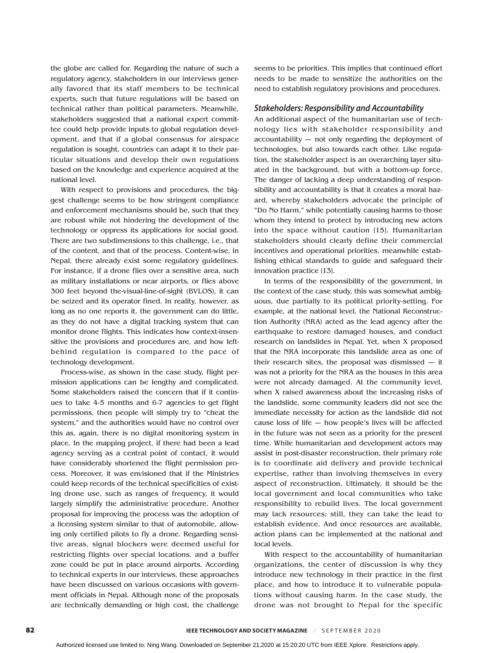the globe are called for. Regarding the nature of such a regulatory agency, stakeholders in our interviews generally favored that its staff members to be technical experts, such that future regulations will be based on technical rather than political parameters. Meanwhile, stakeholders suggested that a national expert committee could help provide inputs to global regulation development, and that if a global consensus for airspace regulation is sought, countries can adapt it to their particular situations and develop their own regulations based on the knowledge and experience acquired at the national level.

With respect to provisions and procedures, the biggest challenge seems to be how stringent compliance and enforcement mechanisms should be, such that they are robust while not hindering the development of the technology or oppress its applications for social good. There are two subdimensions to this challenge, i.e., that of the content, and that of the process. Content-wise, in Nepal, there already exist some regulatory guidelines. For instance, if a drone flies over a sensitive area, such as military installations or near airports, or flies above 300 feet beyond the-visual-line-of-sight (BVLOS), it can be seized and its operator fined. In reality, however, as long as no one reports it, the government can do little, as they do not have a digital tracking system that can monitor drone flights. This indicates how context-insensitive the provisions and procedures are, and how leftbehind regulation is compared to the pace of technology development.

Process-wise, as shown in the case study, flight permission applications can be lengthy and complicated. Some stakeholders raised the concern that if it continues to take 4-5 months and 6-7 agencies to get flight permissions, then people will simply try to "cheat the system," and the authorities would have no control over this as, again, there is no digital monitoring system in place. In the mapping project, if there had been a lead agency serving as a central point of contact, it would have considerably shortened the flight permission process. Moreover, it was envisioned that if the Ministries could keep records of the technical specificities of existing drone use, such as ranges of frequency, it would largely simplify the administrative procedure. Another proposal for improving the process was the adoption of a licensing system similar to that of automobile, allowing only certified pilots to fly a drone. Regarding sensitive areas, signal blockers were deemed useful for restricting flights over special locations, and a buffer zone could be put in place around airports. According to technical experts in our interviews, these approaches have been discussed on various occasions with government officials in Nepal. Although none of the proposals are technically demanding or high cost, the challenge

seems to be priorities. This implies that continued effort needs to be made to sensitize the authorities on the need to establish regulatory provisions and procedures.

#### *Stakeholders: Responsibility and Accountability*

An additional aspect of the humanitarian use of technology lies with stakeholder responsibility and accountability — not only regarding the deployment of technologies, but also towards each other. Like regulation, the stakeholder aspect is an overarching layer situated in the background, but with a bottom-up force. The danger of lacking a deep understanding of responsibility and accountability is that it creates a moral hazard, whereby stakeholders advocate the principle of "Do No Harm," while potentially causing harms to those whom they intend to protect by introducing new actors into the space without caution [15]. Humanitarian stakeholders should clearly define their commercial incentives and operational priorities, meanwhile establishing ethical standards to guide and safeguard their innovation practice (13).

In terms of the responsibility of the government, in the context of the case study, this was somewhat ambiguous, due partially to its political priority-setting. For example, at the national level, the National Reconstruction Authority (NRA) acted as the lead agency after the earthquake to restore damaged houses, and conduct research on landslides in Nepal. Yet, when X proposed that the NRA incorporate this landslide area as one of their research sites, the proposal was dismissed  $-$  it was not a priority for the NRA as the houses in this area were not already damaged. At the community level, when X raised awareness about the increasing risks of the landslide, some community leaders did not see the immediate necessity for action as the landslide did not cause loss of life — how people's lives will be affected in the future was not seen as a priority for the present time. While humanitarian and development actors may assist in post-disaster reconstruction, their primary role is to coordinate aid delivery and provide technical expertise, rather than involving themselves in every aspect of reconstruction. Ultimately, it should be the local government and local communities who take responsibility to rebuild lives. The local government may lack resources; still, they can take the lead to establish evidence. And once resources are available, action plans can be implemented at the national and local levels.

With respect to the accountability of humanitarian organizations, the center of discussion is why they introduce new technology in their practice in the first place, and how to introduce it to vulnerable populations without causing harm. In the case study, the drone was not brought to Nepal for the specific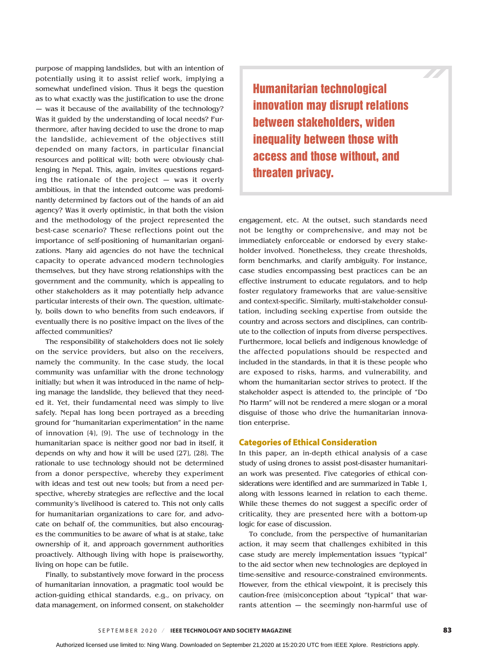purpose of mapping landslides, but with an intention of potentially using it to assist relief work, implying a somewhat undefined vision. Thus it begs the question as to what exactly was the justification to use the drone — was it because of the availability of the technology? Was it guided by the understanding of local needs? Furthermore, after having decided to use the drone to map the landslide, achievement of the objectives still depended on many factors, in particular financial resources and political will; both were obviously challenging in Nepal. This, again, invites questions regarding the rationale of the project  $-$  was it overly ambitious, in that the intended outcome was predominantly determined by factors out of the hands of an aid agency? Was it overly optimistic, in that both the vision and the methodology of the project represented the best-case scenario? These reflections point out the importance of self-positioning of humanitarian organizations. Many aid agencies do not have the technical capacity to operate advanced modern technologies themselves, but they have strong relationships with the government and the community, which is appealing to other stakeholders as it may potentially help advance particular interests of their own. The question, ultimately, boils down to who benefits from such endeavors, if eventually there is no positive impact on the lives of the affected communities?

The responsibility of stakeholders does not lie solely on the service providers, but also on the receivers, namely the community. In the case study, the local community was unfamiliar with the drone technology initially; but when it was introduced in the name of helping manage the landslide, they believed that they needed it. Yet, their fundamental need was simply to live safely. Nepal has long been portrayed as a breeding ground for "humanitarian experimentation" in the name of innovation [4], [9]. The use of technology in the humanitarian space is neither good nor bad in itself, it depends on why and how it will be used [27], [28]. The rationale to use technology should not be determined from a donor perspective, whereby they experiment with ideas and test out new tools; but from a need perspective, whereby strategies are reflective and the local community's livelihood is catered to. This not only calls for humanitarian organizations to care for, and advocate on behalf of, the communities, but also encourages the communities to be aware of what is at stake, take ownership of it, and approach government authorities proactively. Although living with hope is praiseworthy, living on hope can be futile.

Finally, to substantively move forward in the process of humanitarian innovation, a pragmatic tool would be action-guiding ethical standards, e.g., on privacy, on data management, on informed consent, on stakeholder Humanitarian technological innovation may disrupt relations between stakeholders, widen inequality between those with access and those without, and threaten privacy.

a da de

engagement, etc. At the outset, such standards need not be lengthy or comprehensive, and may not be immediately enforceable or endorsed by every stakeholder involved. Nonetheless, they create thresholds, form benchmarks, and clarify ambiguity. For instance, case studies encompassing best practices can be an effective instrument to educate regulators, and to help foster regulatory frameworks that are value-sensitive and context-specific. Similarly, multi-stakeholder consultation, including seeking expertise from outside the country and across sectors and disciplines, can contribute to the collection of inputs from diverse perspectives. Furthermore, local beliefs and indigenous knowledge of the affected populations should be respected and included in the standards, in that it is these people who are exposed to risks, harms, and vulnerability, and whom the humanitarian sector strives to protect. If the stakeholder aspect is attended to, the principle of "Do No Harm" will not be rendered a mere slogan or a moral disguise of those who drive the humanitarian innovation enterprise.

# Categories of Ethical Consideration

In this paper, an in-depth ethical analysis of a case study of using drones to assist post-disaster humanitarian work was presented. Five categories of ethical considerations were identified and are summarized in Table 1, along with lessons learned in relation to each theme. While these themes do not suggest a specific order of criticality, they are presented here with a bottom-up logic for ease of discussion.

To conclude, from the perspective of humanitarian action, it may seem that challenges exhibited in this case study are merely implementation issues "typical" to the aid sector when new technologies are deployed in time-sensitive and resource-constrained environments. However, from the ethical viewpoint, it is precisely this caution-free (mis)conception about "typical" that warrants attention — the seemingly non-harmful use of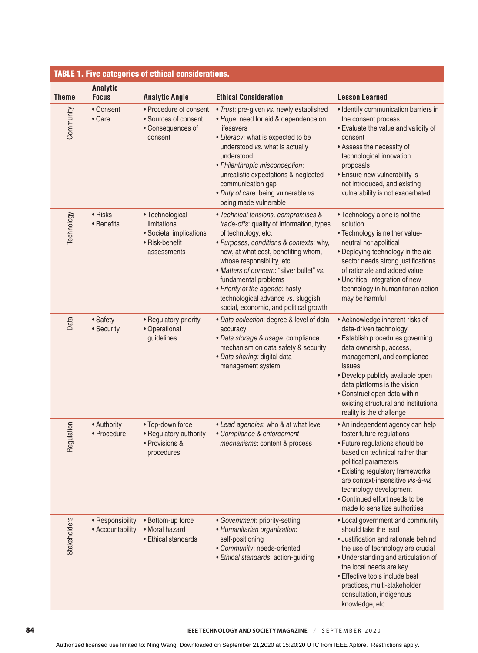| <b>TABLE 1. Five categories of ethical considerations.</b> |                                      |                                                                                                         |                                                                                                                                                                                                                                                                                                                                                                                                                 |                                                                                                                                                                                                                                                                                                                                                   |
|------------------------------------------------------------|--------------------------------------|---------------------------------------------------------------------------------------------------------|-----------------------------------------------------------------------------------------------------------------------------------------------------------------------------------------------------------------------------------------------------------------------------------------------------------------------------------------------------------------------------------------------------------------|---------------------------------------------------------------------------------------------------------------------------------------------------------------------------------------------------------------------------------------------------------------------------------------------------------------------------------------------------|
| <b>Theme</b>                                               | <b>Analytic</b><br><b>Focus</b>      |                                                                                                         | <b>Ethical Consideration</b>                                                                                                                                                                                                                                                                                                                                                                                    | <b>Lesson Learned</b>                                                                                                                                                                                                                                                                                                                             |
| Community                                                  | • Consent<br>• Care                  | <b>Analytic Angle</b><br>• Procedure of consent<br>• Sources of consent<br>• Consequences of<br>consent | · Trust: pre-given vs. newly established<br>• Hope: need for aid & dependence on<br>lifesavers<br>• Literacy: what is expected to be<br>understood vs. what is actually<br>understood<br>• Philanthropic misconception:<br>unrealistic expectations & neglected<br>communication gap<br>. Duty of care: being vulnerable vs.<br>being made vulnerable                                                           | · Identify communication barriers in<br>the consent process<br>• Evaluate the value and validity of<br>consent<br>• Assess the necessity of<br>technological innovation<br>proposals<br>• Ensure new vulnerability is<br>not introduced, and existing<br>vulnerability is not exacerbated                                                         |
| Technology                                                 | • Risks<br>• Benefits                | • Technological<br>limitations<br>• Societal implications<br>• Risk-benefit<br>assessments              | · Technical tensions, compromises &<br>trade-offs: quality of information, types<br>of technology, etc.<br>· Purposes, conditions & contexts: why,<br>how, at what cost, benefiting whom,<br>whose responsibility, etc.<br>• Matters of concern: "silver bullet" vs.<br>fundamental problems<br>· Priority of the agenda: hasty<br>technological advance vs. sluggish<br>social, economic, and political growth | • Technology alone is not the<br>solution<br>• Technology is neither value-<br>neutral nor apolitical<br>• Deploying technology in the aid<br>sector needs strong justifications<br>of rationale and added value<br>• Uncritical integration of new<br>technology in humanitarian action<br>may be harmful                                        |
| Data                                                       | • Safety<br>• Security               | • Regulatory priority<br>• Operational<br>guidelines                                                    | · Data collection: degree & level of data<br>accuracy<br>· Data storage & usage: compliance<br>mechanism on data safety & security<br>· Data sharing: digital data<br>management system                                                                                                                                                                                                                         | • Acknowledge inherent risks of<br>data-driven technology<br>• Establish procedures governing<br>data ownership, access,<br>management, and compliance<br><b>issues</b><br>· Develop publicly available open<br>data platforms is the vision<br>• Construct open data within<br>existing structural and institutional<br>reality is the challenge |
| Regulation<br>ட                                            | • Authority<br>• Procedure           | • Top-down force<br>• Regulatory authority<br>• Provisions &<br>procedures                              | • Lead agencies: who & at what level<br>• Compliance & enforcement<br>mechanisms: content & process                                                                                                                                                                                                                                                                                                             | • An independent agency can help<br>foster future regulations<br>• Future regulations should be<br>based on technical rather than<br>political parameters<br>• Existing regulatory frameworks<br>are context-insensitive vis-à-vis<br>technology development<br>• Continued effort needs to be<br>made to sensitize authorities                   |
| <b>Stakeholders</b>                                        | • Responsibility<br>• Accountability | · Bottom-up force<br>· Moral hazard<br>• Ethical standards                                              | · Government: priority-setting<br>· Humanitarian organization:<br>self-positioning<br>· Community: needs-oriented<br>· Ethical standards: action-guiding                                                                                                                                                                                                                                                        | • Local government and community<br>should take the lead<br>• Justification and rationale behind<br>the use of technology are crucial<br>• Understanding and articulation of<br>the local needs are key<br>• Effective tools include best<br>practices, multi-stakeholder<br>consultation, indigenous<br>knowledge, etc.                          |